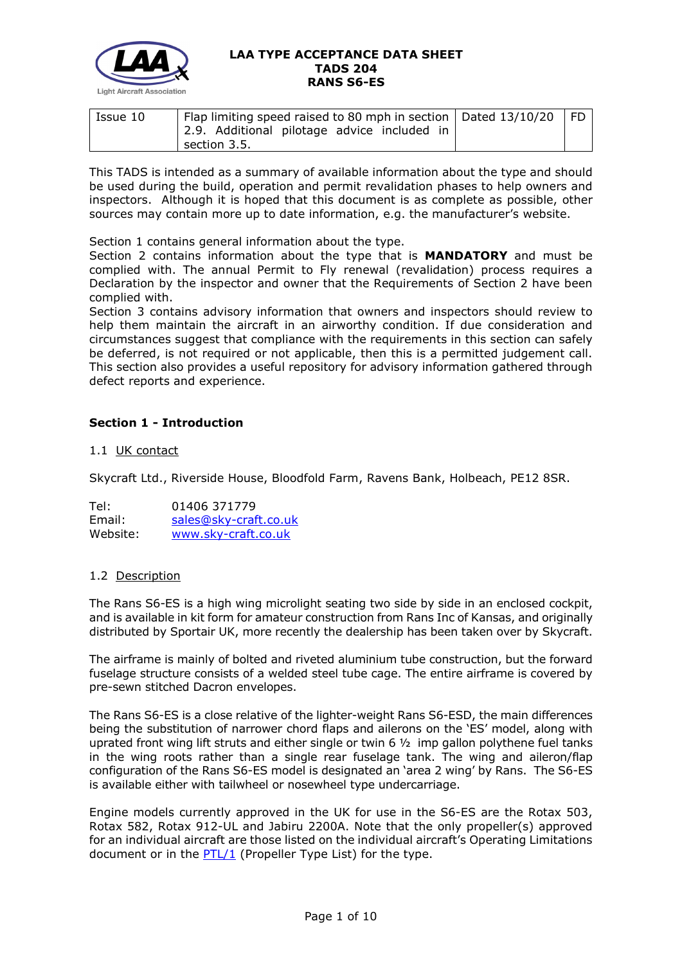

| Issue 10 | Flap limiting speed raised to 80 mph in section   Dated 13/10/20<br>2.9. Additional pilotage advice included in | l FD |
|----------|-----------------------------------------------------------------------------------------------------------------|------|
|          | section 3.5.                                                                                                    |      |

This TADS is intended as a summary of available information about the type and should be used during the build, operation and permit revalidation phases to help owners and inspectors. Although it is hoped that this document is as complete as possible, other sources may contain more up to date information, e.g. the manufacturer's website.

Section 1 contains general information about the type.

Section 2 contains information about the type that is **MANDATORY** and must be complied with. The annual Permit to Fly renewal (revalidation) process requires a Declaration by the inspector and owner that the Requirements of Section 2 have been complied with.

Section 3 contains advisory information that owners and inspectors should review to help them maintain the aircraft in an airworthy condition. If due consideration and circumstances suggest that compliance with the requirements in this section can safely be deferred, is not required or not applicable, then this is a permitted judgement call. This section also provides a useful repository for advisory information gathered through defect reports and experience.

# **Section 1 - Introduction**

## 1.1 UK contact

Skycraft Ltd., Riverside House, Bloodfold Farm, Ravens Bank, Holbeach, PE12 8SR.

| Tel:     | 01406 371779          |  |
|----------|-----------------------|--|
| Email:   | sales@sky-craft.co.uk |  |
| Website: | www.sky-craft.co.uk   |  |

#### 1.2 Description

The Rans S6-ES is a high wing microlight seating two side by side in an enclosed cockpit, and is available in kit form for amateur construction from Rans Inc of Kansas, and originally distributed by Sportair UK, more recently the dealership has been taken over by Skycraft.

The airframe is mainly of bolted and riveted aluminium tube construction, but the forward fuselage structure consists of a welded steel tube cage. The entire airframe is covered by pre-sewn stitched Dacron envelopes.

The Rans S6-ES is a close relative of the lighter-weight Rans S6-ESD, the main differences being the substitution of narrower chord flaps and ailerons on the 'ES' model, along with uprated front wing lift struts and either single or twin 6  $1/2$  imp gallon polythene fuel tanks in the wing roots rather than a single rear fuselage tank. The wing and aileron/flap configuration of the Rans S6-ES model is designated an 'area 2 wing' by Rans. The S6-ES is available either with tailwheel or nosewheel type undercarriage.

Engine models currently approved in the UK for use in the S6-ES are the Rotax 503, Rotax 582, Rotax 912-UL and Jabiru 2200A. Note that the only propeller(s) approved for an individual aircraft are those listed on the individual aircraft's Operating Limitations document or in the  $PTL/1$  (Propeller Type List) for the type.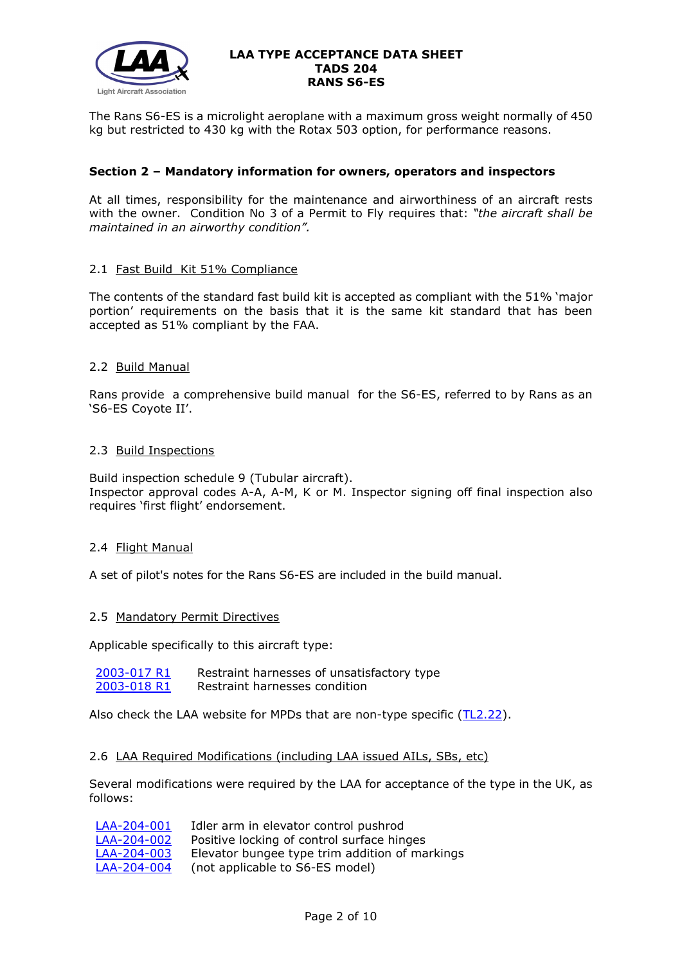

The Rans S6-ES is a microlight aeroplane with a maximum gross weight normally of 450 kg but restricted to 430 kg with the Rotax 503 option, for performance reasons.

## **Section 2 – Mandatory information for owners, operators and inspectors**

At all times, responsibility for the maintenance and airworthiness of an aircraft rests with the owner. Condition No 3 of a Permit to Fly requires that: *"the aircraft shall be maintained in an airworthy condition".* 

## 2.1 Fast Build Kit 51% Compliance

The contents of the standard fast build kit is accepted as compliant with the 51% 'major portion' requirements on the basis that it is the same kit standard that has been accepted as 51% compliant by the FAA.

## 2.2 Build Manual

Rans provide a comprehensive build manual for the S6-ES, referred to by Rans as an 'S6-ES Coyote II'.

## 2.3 Build Inspections

Build inspection schedule 9 (Tubular aircraft). Inspector approval codes A-A, A-M, K or M. Inspector signing off final inspection also requires 'first flight' endorsement.

## 2.4 Flight Manual

A set of pilot's notes for the Rans S6-ES are included in the build manual.

## 2.5 Mandatory Permit Directives

Applicable specifically to this aircraft type:

[2003-017 R1](http://www.lightaircraftassociation.co.uk/engineering/TADs/204/mpd2003017r1.pdf) Restraint harnesses of unsatisfactory type<br>2003-018 R1 Restraint harnesses condition Restraint harnesses condition

Also check the LAA website for MPDs that are non-type specific [\(TL2.22\)](http://www.lightaircraftassociation.co.uk/engineering/TechnicalLeaflets/Operating%20An%20Aircraft/TL%202.22%20non-type%20specific%20MPDs.pdf).

## 2.6 LAA Required Modifications (including LAA issued AILs, SBs, etc)

Several modifications were required by the LAA for acceptance of the type in the UK, as follows:

| LAA-204-001 | Idler arm in elevator control pushrod          |
|-------------|------------------------------------------------|
| LAA-204-002 | Positive locking of control surface hinges     |
| LAA-204-003 | Elevator bungee type trim addition of markings |
| LAA-204-004 | (not applicable to S6-ES model)                |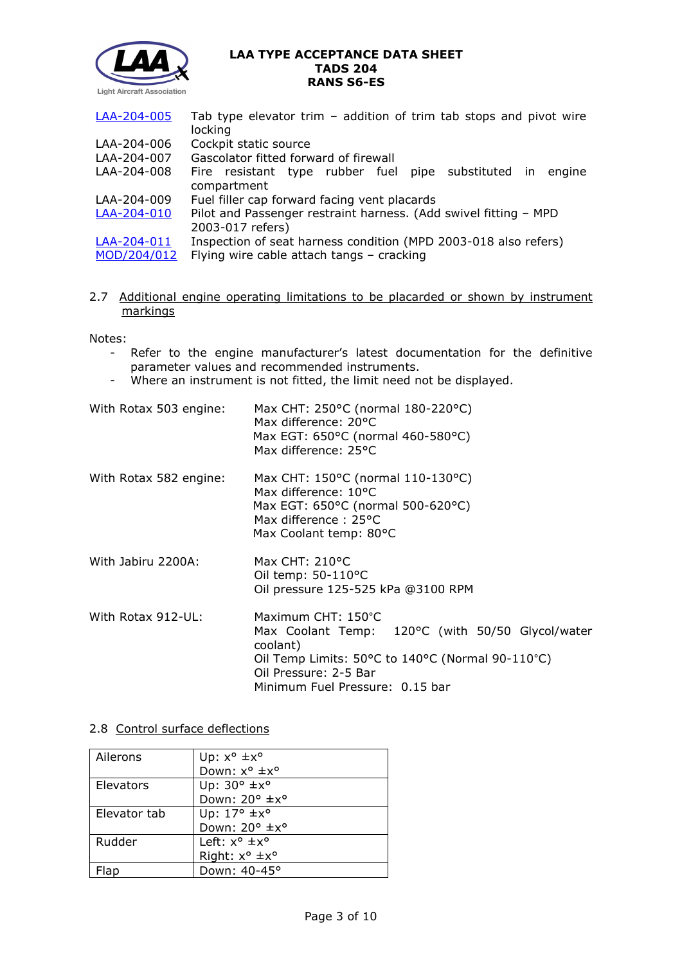

| LAA-204-005 | Tab type elevator trim $-$ addition of trim tab stops and pivot wire |  |
|-------------|----------------------------------------------------------------------|--|
|             | locking                                                              |  |
| LAA-204-006 | Cockpit static source                                                |  |
| LAA-204-007 | Gascolator fitted forward of firewall                                |  |
| LAA-204-008 | Fire resistant type rubber fuel pipe substituted in engine           |  |
|             | compartment                                                          |  |
| LAA-204-009 | Fuel filler cap forward facing vent placards                         |  |
| LAA-204-010 | Pilot and Passenger restraint harness. (Add swivel fitting - MPD     |  |
|             | 2003-017 refers)                                                     |  |
| LAA-204-011 | Inspection of seat harness condition (MPD 2003-018 also refers)      |  |
| MOD/204/012 | Flying wire cable attach tangs - cracking                            |  |

2.7 Additional engine operating limitations to be placarded or shown by instrument markings

Notes:

- Refer to the engine manufacturer's latest documentation for the definitive parameter values and recommended instruments.
- parameter values and recommended modernicities.<br>- Where an instrument is not fitted, the limit need not be displayed.

| With Rotax 503 engine: | Max CHT: 250°C (normal 180-220°C)<br>Max difference: 20°C<br>Max EGT: 650°C (normal 460-580°C)<br>Max difference: 25°C                                                                             |
|------------------------|----------------------------------------------------------------------------------------------------------------------------------------------------------------------------------------------------|
| With Rotax 582 engine: | Max CHT: 150°C (normal 110-130°C)<br>Max difference: 10°C<br>Max EGT: 650°C (normal 500-620°C)<br>Max difference: 25°C<br>Max Coolant temp: 80°C                                                   |
| With Jabiru 2200A:     | Max CHT: $210^{\circ}$ C<br>Oil temp: $50-110$ °C<br>Oil pressure 125-525 kPa @3100 RPM                                                                                                            |
| With Rotax 912-UL:     | Maximum CHT: 150°C<br>Max Coolant Temp: 120°C (with 50/50 Glycol/water<br>coolant)<br>Oil Temp Limits: 50°C to 140°C (Normal 90-110°C)<br>Oil Pressure: 2-5 Bar<br>Minimum Fuel Pressure: 0.15 bar |

## 2.8 Control surface deflections

| Ailerons     | Up: $x^{\circ}$ $\pm x^{\circ}$   |
|--------------|-----------------------------------|
|              | Down: x° ±x°                      |
| Elevators    | Up: $30^\circ \pm x^\circ$        |
|              | Down: 20° ±x°                     |
| Elevator tab | Up: $17^\circ \pm x^\circ$        |
|              | Down: 20° ±x°                     |
| Rudder       | Left: $x^{\circ}$ $\pm x^{\circ}$ |
|              | Right: x° ±x°                     |
| Flap         | Down: 40-45°                      |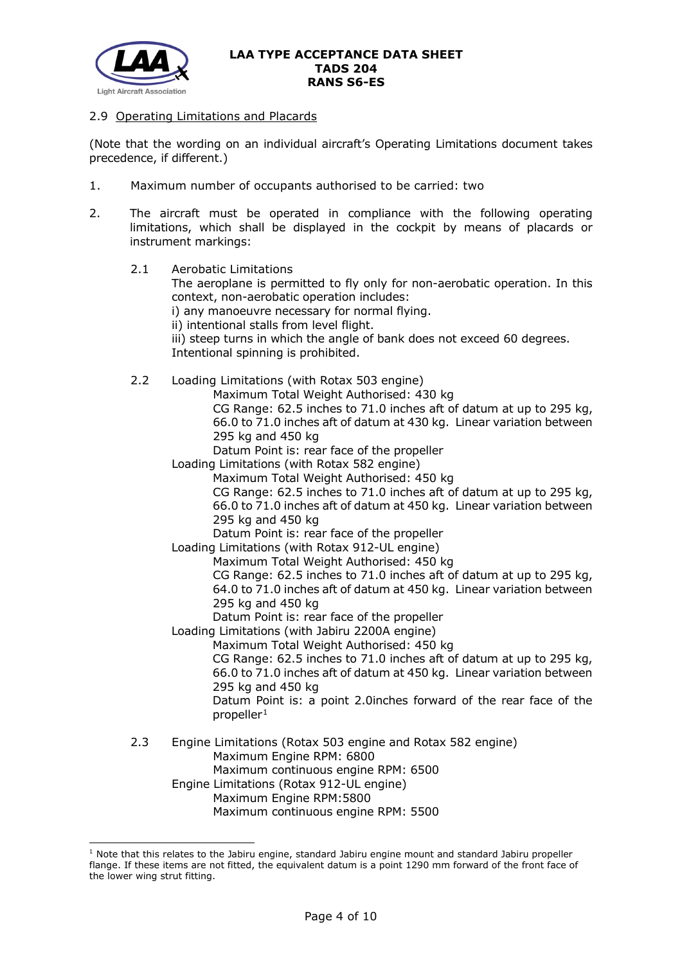

#### 2.9 Operating Limitations and Placards

(Note that the wording on an individual aircraft's Operating Limitations document takes precedence, if different.)

- 1. Maximum number of occupants authorised to be carried: two
- 2. The aircraft must be operated in compliance with the following operating limitations, which shall be displayed in the cockpit by means of placards or instrument markings:
	- 2.1 Aerobatic Limitations
		- The aeroplane is permitted to fly only for non-aerobatic operation. In this context, non-aerobatic operation includes:
		- i) any manoeuvre necessary for normal flying.
		- ii) intentional stalls from level flight.
		- iii) steep turns in which the angle of bank does not exceed 60 degrees. Intentional spinning is prohibited.
	- 2.2 Loading Limitations (with Rotax 503 engine)

Maximum Total Weight Authorised: 430 kg

CG Range: 62.5 inches to 71.0 inches aft of datum at up to 295 kg, 66.0 to 71.0 inches aft of datum at 430 kg. Linear variation between 295 kg and 450 kg

Datum Point is: rear face of the propeller

Loading Limitations (with Rotax 582 engine)

Maximum Total Weight Authorised: 450 kg

CG Range: 62.5 inches to 71.0 inches aft of datum at up to 295 kg, 66.0 to 71.0 inches aft of datum at 450 kg. Linear variation between 295 kg and 450 kg

Datum Point is: rear face of the propeller

Loading Limitations (with Rotax 912-UL engine)

Maximum Total Weight Authorised: 450 kg

CG Range: 62.5 inches to 71.0 inches aft of datum at up to 295 kg, 64.0 to 71.0 inches aft of datum at 450 kg. Linear variation between 295 kg and 450 kg

Datum Point is: rear face of the propeller

Loading Limitations (with Jabiru 2200A engine)

Maximum Total Weight Authorised: 450 kg

CG Range: 62.5 inches to 71.0 inches aft of datum at up to 295 kg, 66.0 to 71.0 inches aft of datum at 450 kg. Linear variation between 295 kg and 450 kg

Datum Point is: a point 2.0inches forward of the rear face of the  $propeller<sup>1</sup>$  $propeller<sup>1</sup>$  $propeller<sup>1</sup>$ 

2.3 Engine Limitations (Rotax 503 engine and Rotax 582 engine) Maximum Engine RPM: 6800 Maximum continuous engine RPM: 6500 Engine Limitations (Rotax 912-UL engine) Maximum Engine RPM:5800 Maximum continuous engine RPM: 5500

<span id="page-3-0"></span> $1$  Note that this relates to the Jabiru engine, standard Jabiru engine mount and standard Jabiru propeller flange. If these items are not fitted, the equivalent datum is a point 1290 mm forward of the front face of the lower wing strut fitting.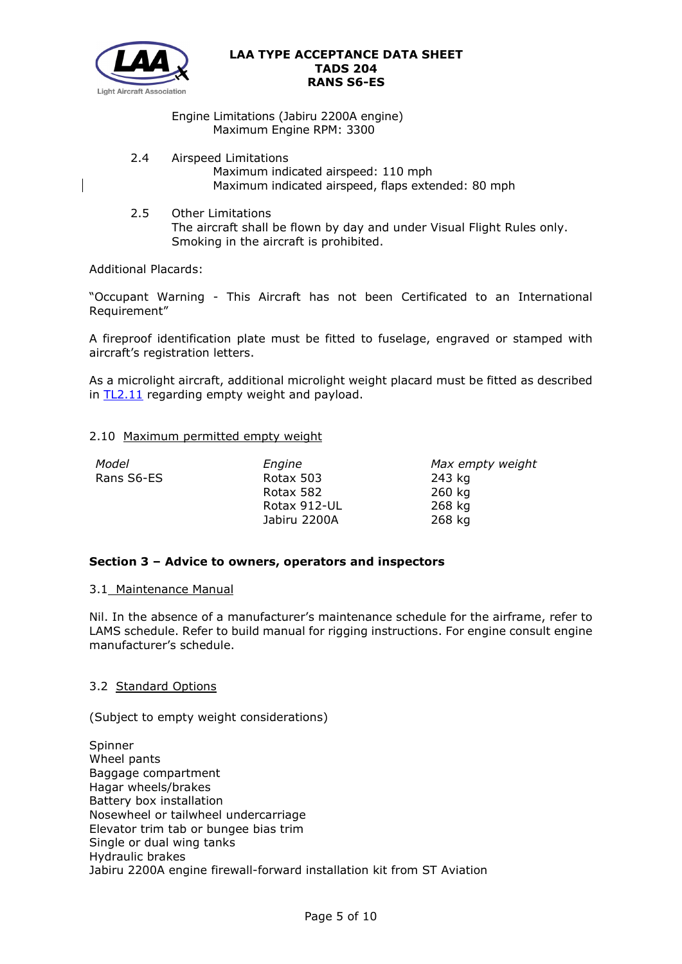

## Engine Limitations (Jabiru 2200A engine) Maximum Engine RPM: 3300

2.4 Airspeed Limitations

Maximum indicated airspeed: 110 mph Maximum indicated airspeed, flaps extended: 80 mph

2.5 Other Limitations The aircraft shall be flown by day and under Visual Flight Rules only. Smoking in the aircraft is prohibited.

Additional Placards:

"Occupant Warning - This Aircraft has not been Certificated to an International Requirement"

A fireproof identification plate must be fitted to fuselage, engraved or stamped with aircraft's registration letters.

As a microlight aircraft, additional microlight weight placard must be fitted as described in [TL2.11](http://mar2013.lightaircraftassociation.co.uk/engineering/TechnicalLeaflets/Operating%20An%20Aircraft/TL%202.11%20Placards%20and%20Labels.pdf) regarding empty weight and payload.

## 2.10 Maximum permitted empty weight

| Model      | Engine       | Max empty weight |
|------------|--------------|------------------|
| Rans S6-ES | Rotax 503    | 243 kg           |
|            | Rotax 582    | 260 kg           |
|            | Rotax 912-UL | 268 kg           |
|            | Jabiru 2200A | 268 kg           |

# **Section 3 – Advice to owners, operators and inspectors**

## 3.1 Maintenance Manual

Nil. In the absence of a manufacturer's maintenance schedule for the airframe, refer to LAMS schedule. Refer to build manual for rigging instructions. For engine consult engine manufacturer's schedule.

## 3.2 Standard Options

(Subject to empty weight considerations)

Spinner Wheel pants Baggage compartment Hagar wheels/brakes Battery box installation Nosewheel or tailwheel undercarriage Elevator trim tab or bungee bias trim Single or dual wing tanks Hydraulic brakes Jabiru 2200A engine firewall-forward installation kit from ST Aviation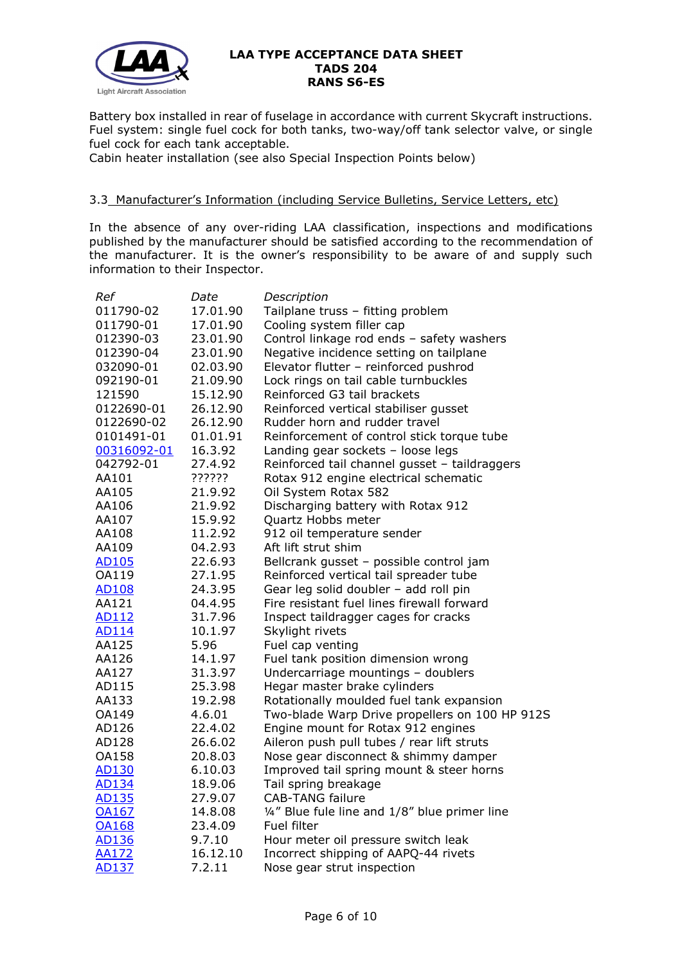

Battery box installed in rear of fuselage in accordance with current Skycraft instructions. Fuel system: single fuel cock for both tanks, two-way/off tank selector valve, or single fuel cock for each tank acceptable.

Cabin heater installation (see also Special Inspection Points below)

## 3.3 Manufacturer's Information (including Service Bulletins, Service Letters, etc)

In the absence of any over-riding LAA classification, inspections and modifications published by the manufacturer should be satisfied according to the recommendation of the manufacturer. It is the owner's responsibility to be aware of and supply such information to their Inspector.

| Ref          | Date     | Description                                    |
|--------------|----------|------------------------------------------------|
| 011790-02    | 17.01.90 | Tailplane truss - fitting problem              |
| 011790-01    | 17.01.90 | Cooling system filler cap                      |
| 012390-03    | 23.01.90 | Control linkage rod ends - safety washers      |
| 012390-04    | 23.01.90 | Negative incidence setting on tailplane        |
| 032090-01    | 02.03.90 | Elevator flutter - reinforced pushrod          |
| 092190-01    | 21.09.90 | Lock rings on tail cable turnbuckles           |
| 121590       | 15.12.90 | Reinforced G3 tail brackets                    |
| 0122690-01   | 26.12.90 | Reinforced vertical stabiliser gusset          |
| 0122690-02   | 26.12.90 | Rudder horn and rudder travel                  |
| 0101491-01   | 01.01.91 | Reinforcement of control stick torque tube     |
| 00316092-01  | 16.3.92  | Landing gear sockets - loose legs              |
| 042792-01    | 27.4.92  | Reinforced tail channel gusset - taildraggers  |
| AA101        | ??????   | Rotax 912 engine electrical schematic          |
| AA105        | 21.9.92  | Oil System Rotax 582                           |
| AA106        | 21.9.92  | Discharging battery with Rotax 912             |
| AA107        | 15.9.92  | Quartz Hobbs meter                             |
| AA108        | 11.2.92  | 912 oil temperature sender                     |
| AA109        | 04.2.93  | Aft lift strut shim                            |
| AD105        | 22.6.93  | Bellcrank gusset - possible control jam        |
| OA119        | 27.1.95  | Reinforced vertical tail spreader tube         |
| <b>AD108</b> | 24.3.95  | Gear leg solid doubler - add roll pin          |
| AA121        | 04.4.95  | Fire resistant fuel lines firewall forward     |
| AD112        | 31.7.96  | Inspect taildragger cages for cracks           |
| <b>AD114</b> | 10.1.97  | Skylight rivets                                |
| AA125        | 5.96     | Fuel cap venting                               |
| AA126        | 14.1.97  | Fuel tank position dimension wrong             |
| AA127        | 31.3.97  | Undercarriage mountings - doublers             |
| AD115        | 25.3.98  | Hegar master brake cylinders                   |
| AA133        | 19.2.98  | Rotationally moulded fuel tank expansion       |
| OA149        | 4.6.01   | Two-blade Warp Drive propellers on 100 HP 912S |
| AD126        | 22.4.02  | Engine mount for Rotax 912 engines             |
| AD128        | 26.6.02  | Aileron push pull tubes / rear lift struts     |
| <b>OA158</b> | 20.8.03  | Nose gear disconnect & shimmy damper           |
| <b>AD130</b> | 6.10.03  | Improved tail spring mount & steer horns       |
| AD134        | 18.9.06  | Tail spring breakage                           |
| AD135        | 27.9.07  | <b>CAB-TANG failure</b>                        |
| <b>OA167</b> | 14.8.08  | 1/4" Blue fule line and 1/8" blue primer line  |
| <b>OA168</b> | 23.4.09  | Fuel filter                                    |
| AD136        | 9.7.10   | Hour meter oil pressure switch leak            |
| <b>AA172</b> | 16.12.10 | Incorrect shipping of AAPQ-44 rivets           |
| AD137        | 7.2.11   | Nose gear strut inspection                     |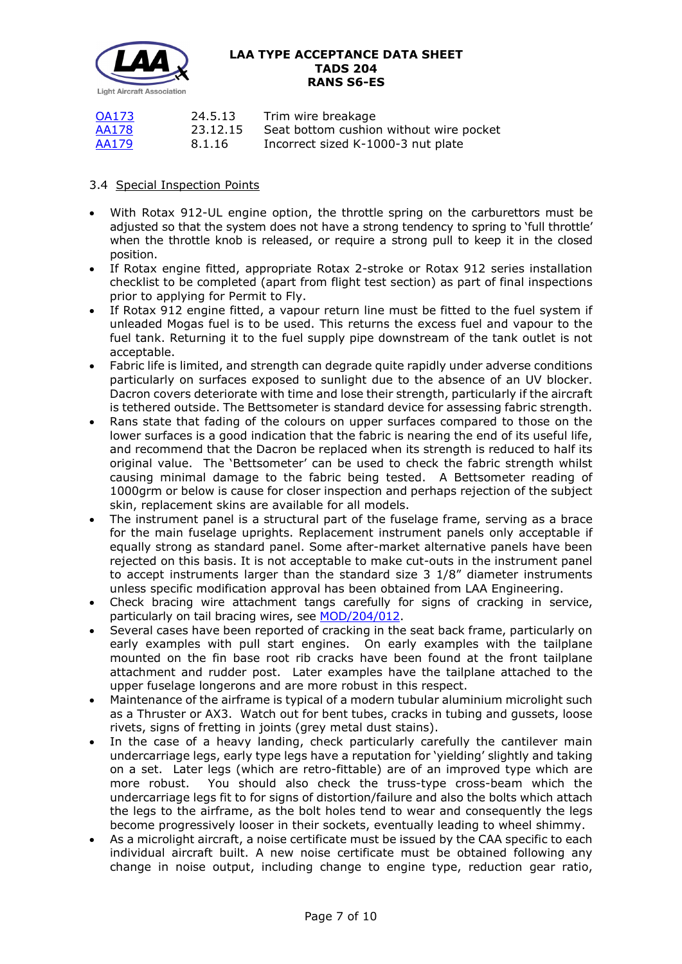

| <b>OA173</b> | 24.5.13  | Trim wire breakage                      |
|--------------|----------|-----------------------------------------|
| AA178        | 23.12.15 | Seat bottom cushion without wire pocket |
| AA179        | 8.1.16   | Incorrect sized K-1000-3 nut plate      |

# 3.4 Special Inspection Points

- With Rotax 912-UL engine option, the throttle spring on the carburettors must be adjusted so that the system does not have a strong tendency to spring to 'full throttle' when the throttle knob is released, or require a strong pull to keep it in the closed position.
- If Rotax engine fitted, appropriate Rotax 2-stroke or Rotax 912 series installation checklist to be completed (apart from flight test section) as part of final inspections prior to applying for Permit to Fly.
- If Rotax 912 engine fitted, a vapour return line must be fitted to the fuel system if unleaded Mogas fuel is to be used. This returns the excess fuel and vapour to the fuel tank. Returning it to the fuel supply pipe downstream of the tank outlet is not acceptable.
- Fabric life is limited, and strength can degrade quite rapidly under adverse conditions particularly on surfaces exposed to sunlight due to the absence of an UV blocker. Dacron covers deteriorate with time and lose their strength, particularly if the aircraft is tethered outside. The Bettsometer is standard device for assessing fabric strength.
- Rans state that fading of the colours on upper surfaces compared to those on the lower surfaces is a good indication that the fabric is nearing the end of its useful life, and recommend that the Dacron be replaced when its strength is reduced to half its original value. The 'Bettsometer' can be used to check the fabric strength whilst causing minimal damage to the fabric being tested. A Bettsometer reading of 1000grm or below is cause for closer inspection and perhaps rejection of the subject skin, replacement skins are available for all models.
- The instrument panel is a structural part of the fuselage frame, serving as a brace for the main fuselage uprights. Replacement instrument panels only acceptable if equally strong as standard panel. Some after-market alternative panels have been rejected on this basis. It is not acceptable to make cut-outs in the instrument panel to accept instruments larger than the standard size 3 1/8" diameter instruments unless specific modification approval has been obtained from LAA Engineering.
- Check bracing wire attachment tangs carefully for signs of cracking in service, particularly on tail bracing wires, see [MOD/204/012.](http://www.lightaircraftassociation.co.uk/engineering/TADs/204/MOD%20204-012.pdf)
- Several cases have been reported of cracking in the seat back frame, particularly on early examples with pull start engines. On early examples with the tailplane mounted on the fin base root rib cracks have been found at the front tailplane attachment and rudder post. Later examples have the tailplane attached to the upper fuselage longerons and are more robust in this respect.
- Maintenance of the airframe is typical of a modern tubular aluminium microlight such as a Thruster or AX3. Watch out for bent tubes, cracks in tubing and gussets, loose rivets, signs of fretting in joints (grey metal dust stains).
- In the case of a heavy landing, check particularly carefully the cantilever main undercarriage legs, early type legs have a reputation for 'yielding' slightly and taking on a set. Later legs (which are retro-fittable) are of an improved type which are more robust. You should also check the truss-type cross-beam which the undercarriage legs fit to for signs of distortion/failure and also the bolts which attach the legs to the airframe, as the bolt holes tend to wear and consequently the legs become progressively looser in their sockets, eventually leading to wheel shimmy.
- As a microlight aircraft, a noise certificate must be issued by the CAA specific to each individual aircraft built. A new noise certificate must be obtained following any change in noise output, including change to engine type, reduction gear ratio,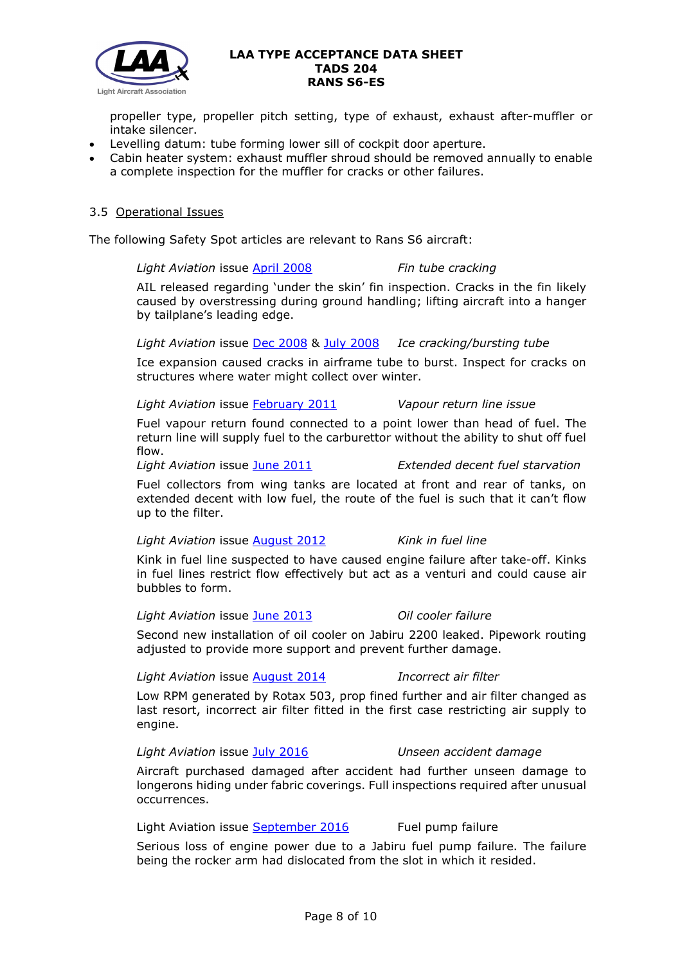

propeller type, propeller pitch setting, type of exhaust, exhaust after-muffler or intake silencer.

- Levelling datum: tube forming lower sill of cockpit door aperture.
- Cabin heater system: exhaust muffler shroud should be removed annually to enable a complete inspection for the muffler for cracks or other failures.

# 3.5 Operational Issues

The following Safety Spot articles are relevant to Rans S6 aircraft:

*Light Aviation* issue [April 2008](http://www.lightaircraftassociation.co.uk/engineering/SafetyIssues/SafetySpotApril08.pdf) *Fin tube cracking*

AIL released regarding 'under the skin' fin inspection. Cracks in the fin likely caused by overstressing during ground handling; lifting aircraft into a hanger by tailplane's leading edge.

*Light Aviation* issue [Dec 2008](http://www.lightaircraftassociation.co.uk/engineering/SafetyIssues/SafetySpotDec08.pdf) & [July 2008](http://www.lightaircraftassociation.co.uk/engineering/SafetyIssues/SafetySpotJuly08.pdf) *Ice cracking/bursting tube*

Ice expansion caused cracks in airframe tube to burst. Inspect for cracks on structures where water might collect over winter.

*Light Aviation* issue [February 2011](http://www.lightaircraftassociation.co.uk/2010/Magazine/2011/Feb/Safety_Spot.pdf) *Vapour return line issue*

Fuel vapour return found connected to a point lower than head of fuel. The return line will supply fuel to the carburettor without the ability to shut off fuel flow.

#### *Light Aviation* issue [June 2011](http://www.lightaircraftassociation.co.uk/2011/Magazine/June/safety%20spot.pdf) *Extended decent fuel starvation*

Fuel collectors from wing tanks are located at front and rear of tanks, on extended decent with low fuel, the route of the fuel is such that it can't flow up to the filter.

*Light Aviation* issue [August 2012](http://www.lightaircraftassociation.co.uk/2012/Magazine/August/safety_spot.pdf) *Kink in fuel line*

Kink in fuel line suspected to have caused engine failure after take-off. Kinks in fuel lines restrict flow effectively but act as a venturi and could cause air bubbles to form.

*Light Aviation* issue [June 2013](http://www.lightaircraftassociation.co.uk/2013/Magazine/June/safety_spot.pdf) *Oil cooler failure*

Second new installation of oil cooler on Jabiru 2200 leaked. Pipework routing adjusted to provide more support and prevent further damage.

*Light Aviation* issue [August 2014](http://www.lightaircraftassociation.co.uk/2014/Mag/Aug/Safety%20Spot.pdf) *Incorrect air filter*

Low RPM generated by Rotax 503, prop fined further and air filter changed as last resort, incorrect air filter fitted in the first case restricting air supply to engine.

*Light Aviation* issue [July 2016](http://www.lightaircraftassociation.co.uk/2016/Magazine/Jul/safety_spot.pdf) *Unseen accident damage*

Aircraft purchased damaged after accident had further unseen damage to longerons hiding under fabric coverings. Full inspections required after unusual occurrences.

Light Aviation issue [September 2016](http://www.lightaircraftassociation.co.uk/2016/Magazine/Sep/safety_spot.pdf) Fuel pump failure

Serious loss of engine power due to a Jabiru fuel pump failure. The failure being the rocker arm had dislocated from the slot in which it resided.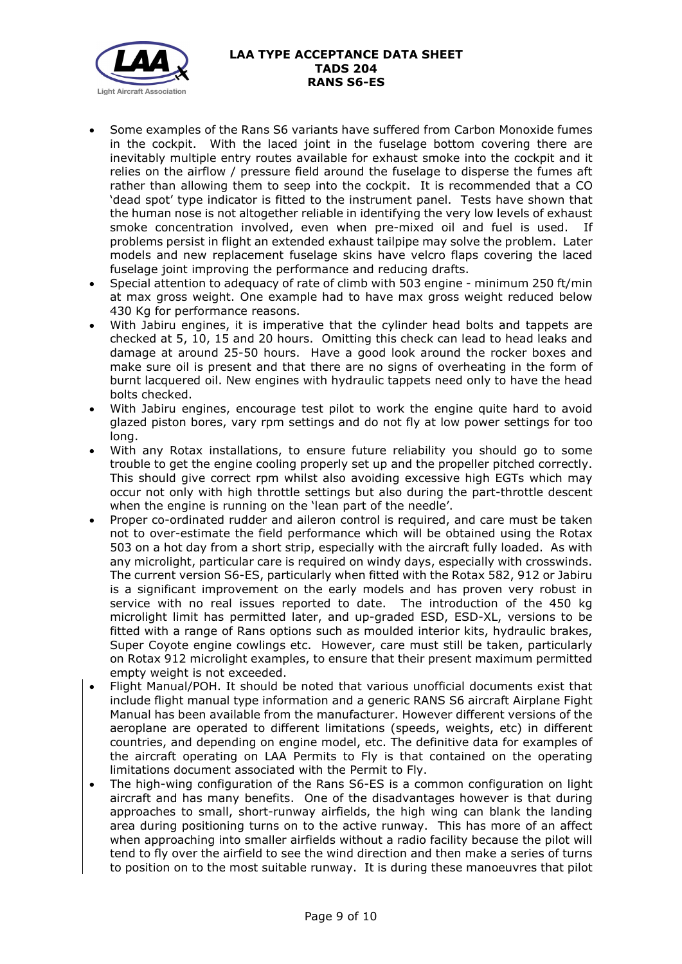

- Some examples of the Rans S6 variants have suffered from Carbon Monoxide fumes in the cockpit. With the laced joint in the fuselage bottom covering there are inevitably multiple entry routes available for exhaust smoke into the cockpit and it relies on the airflow / pressure field around the fuselage to disperse the fumes aft rather than allowing them to seep into the cockpit. It is recommended that a CO 'dead spot' type indicator is fitted to the instrument panel. Tests have shown that the human nose is not altogether reliable in identifying the very low levels of exhaust smoke concentration involved, even when pre-mixed oil and fuel is used. If problems persist in flight an extended exhaust tailpipe may solve the problem. Later models and new replacement fuselage skins have velcro flaps covering the laced fuselage joint improving the performance and reducing drafts.
- Special attention to adequacy of rate of climb with 503 engine minimum 250 ft/min at max gross weight. One example had to have max gross weight reduced below 430 Kg for performance reasons.
- With Jabiru engines, it is imperative that the cylinder head bolts and tappets are checked at 5, 10, 15 and 20 hours. Omitting this check can lead to head leaks and damage at around 25-50 hours. Have a good look around the rocker boxes and make sure oil is present and that there are no signs of overheating in the form of burnt lacquered oil. New engines with hydraulic tappets need only to have the head bolts checked.
- With Jabiru engines, encourage test pilot to work the engine quite hard to avoid glazed piston bores, vary rpm settings and do not fly at low power settings for too long.
- With any Rotax installations, to ensure future reliability you should go to some trouble to get the engine cooling properly set up and the propeller pitched correctly. This should give correct rpm whilst also avoiding excessive high EGTs which may occur not only with high throttle settings but also during the part-throttle descent when the engine is running on the 'lean part of the needle'.
- Proper co-ordinated rudder and aileron control is required, and care must be taken not to over-estimate the field performance which will be obtained using the Rotax 503 on a hot day from a short strip, especially with the aircraft fully loaded. As with any microlight, particular care is required on windy days, especially with crosswinds. The current version S6-ES, particularly when fitted with the Rotax 582, 912 or Jabiru is a significant improvement on the early models and has proven very robust in service with no real issues reported to date. The introduction of the 450 kg microlight limit has permitted later, and up-graded ESD, ESD-XL, versions to be fitted with a range of Rans options such as moulded interior kits, hydraulic brakes, Super Coyote engine cowlings etc. However, care must still be taken, particularly on Rotax 912 microlight examples, to ensure that their present maximum permitted empty weight is not exceeded.
- Flight Manual/POH. It should be noted that various unofficial documents exist that include flight manual type information and a generic RANS S6 aircraft Airplane Fight Manual has been available from the manufacturer. However different versions of the aeroplane are operated to different limitations (speeds, weights, etc) in different countries, and depending on engine model, etc. The definitive data for examples of the aircraft operating on LAA Permits to Fly is that contained on the operating limitations document associated with the Permit to Fly.
- The high-wing configuration of the Rans S6-ES is a common configuration on light aircraft and has many benefits. One of the disadvantages however is that during approaches to small, short-runway airfields, the high wing can blank the landing area during positioning turns on to the active runway. This has more of an affect when approaching into smaller airfields without a radio facility because the pilot will tend to fly over the airfield to see the wind direction and then make a series of turns to position on to the most suitable runway. It is during these manoeuvres that pilot